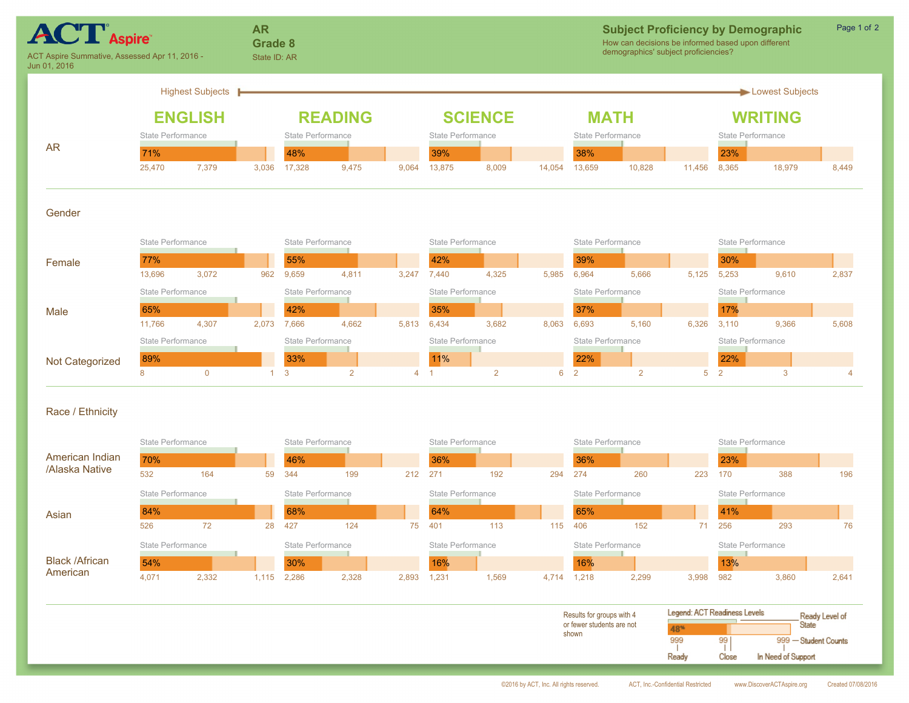